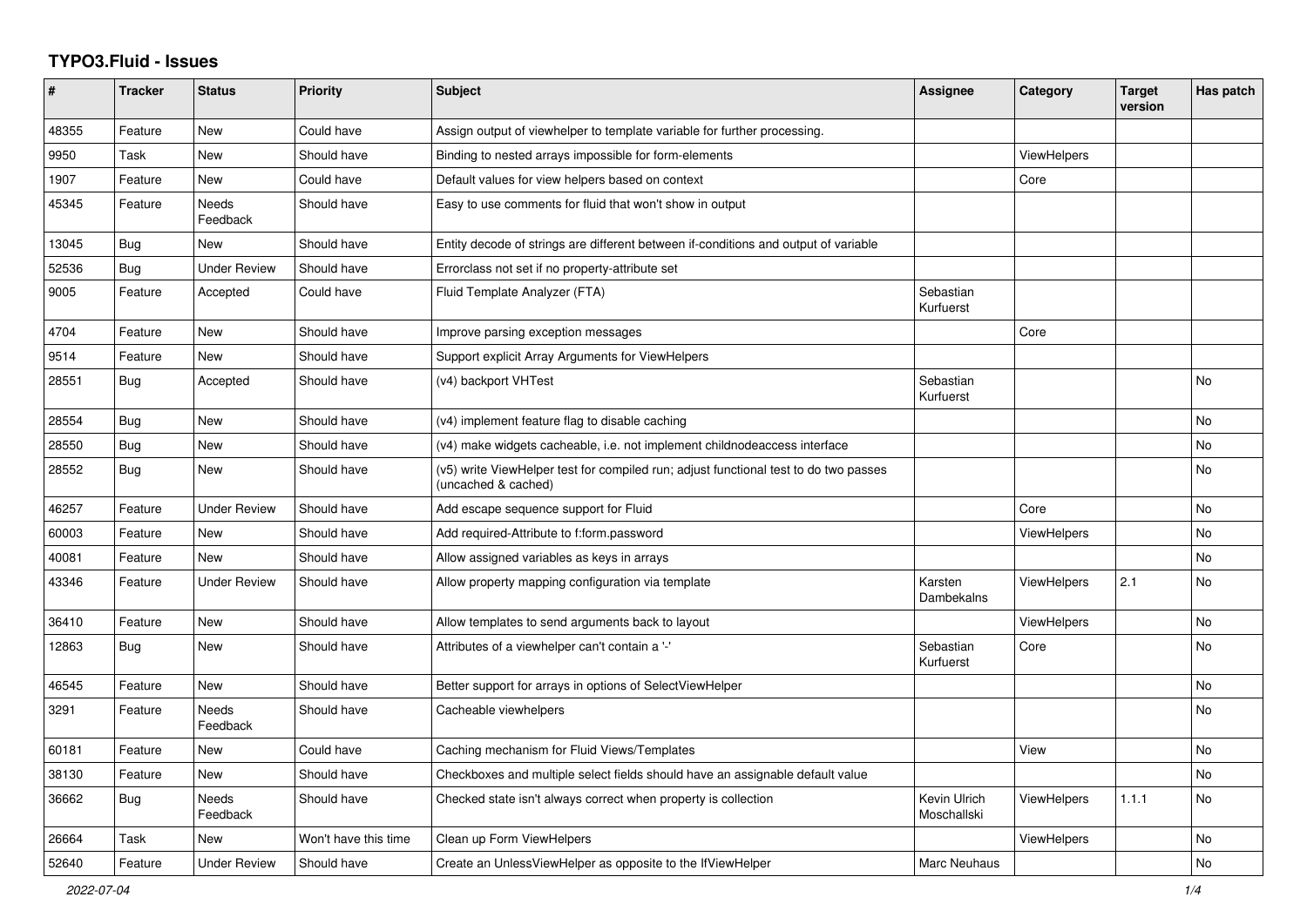## **TYPO3.Fluid - Issues**

| #     | <b>Tracker</b> | <b>Status</b>            | <b>Priority</b>      | <b>Subject</b>                                                                                              | Assignee                    | Category           | <b>Target</b><br>version | Has patch |
|-------|----------------|--------------------------|----------------------|-------------------------------------------------------------------------------------------------------------|-----------------------------|--------------------|--------------------------|-----------|
| 48355 | Feature        | New                      | Could have           | Assign output of viewhelper to template variable for further processing.                                    |                             |                    |                          |           |
| 9950  | Task           | New                      | Should have          | Binding to nested arrays impossible for form-elements                                                       |                             | <b>ViewHelpers</b> |                          |           |
| 1907  | Feature        | <b>New</b>               | Could have           | Default values for view helpers based on context                                                            |                             | Core               |                          |           |
| 45345 | Feature        | <b>Needs</b><br>Feedback | Should have          | Easy to use comments for fluid that won't show in output                                                    |                             |                    |                          |           |
| 13045 | <b>Bug</b>     | New                      | Should have          | Entity decode of strings are different between if-conditions and output of variable                         |                             |                    |                          |           |
| 52536 | <b>Bug</b>     | <b>Under Review</b>      | Should have          | Errorclass not set if no property-attribute set                                                             |                             |                    |                          |           |
| 9005  | Feature        | Accepted                 | Could have           | Fluid Template Analyzer (FTA)                                                                               | Sebastian<br>Kurfuerst      |                    |                          |           |
| 4704  | Feature        | New                      | Should have          | Improve parsing exception messages                                                                          |                             | Core               |                          |           |
| 9514  | Feature        | New                      | Should have          | Support explicit Array Arguments for ViewHelpers                                                            |                             |                    |                          |           |
| 28551 | Bug            | Accepted                 | Should have          | (v4) backport VHTest                                                                                        | Sebastian<br>Kurfuerst      |                    |                          | No        |
| 28554 | Bug            | New                      | Should have          | (v4) implement feature flag to disable caching                                                              |                             |                    |                          | <b>No</b> |
| 28550 | <b>Bug</b>     | New                      | Should have          | (v4) make widgets cacheable, i.e. not implement childnodeaccess interface                                   |                             |                    |                          | <b>No</b> |
| 28552 | Bug            | New                      | Should have          | (v5) write ViewHelper test for compiled run; adjust functional test to do two passes<br>(uncached & cached) |                             |                    |                          | <b>No</b> |
| 46257 | Feature        | <b>Under Review</b>      | Should have          | Add escape sequence support for Fluid                                                                       |                             | Core               |                          | No        |
| 60003 | Feature        | New                      | Should have          | Add required-Attribute to f:form.password                                                                   |                             | ViewHelpers        |                          | No        |
| 40081 | Feature        | New                      | Should have          | Allow assigned variables as keys in arrays                                                                  |                             |                    |                          | No        |
| 43346 | Feature        | <b>Under Review</b>      | Should have          | Allow property mapping configuration via template                                                           | Karsten<br>Dambekalns       | <b>ViewHelpers</b> | 2.1                      | No        |
| 36410 | Feature        | New                      | Should have          | Allow templates to send arguments back to layout                                                            |                             | <b>ViewHelpers</b> |                          | <b>No</b> |
| 12863 | Bug            | <b>New</b>               | Should have          | Attributes of a viewhelper can't contain a '-'                                                              | Sebastian<br>Kurfuerst      | Core               |                          | <b>No</b> |
| 46545 | Feature        | New                      | Should have          | Better support for arrays in options of SelectViewHelper                                                    |                             |                    |                          | <b>No</b> |
| 3291  | Feature        | Needs<br>Feedback        | Should have          | Cacheable viewhelpers                                                                                       |                             |                    |                          | No        |
| 60181 | Feature        | New                      | Could have           | Caching mechanism for Fluid Views/Templates                                                                 |                             | View               |                          | No        |
| 38130 | Feature        | New                      | Should have          | Checkboxes and multiple select fields should have an assignable default value                               |                             |                    |                          | No        |
| 36662 | Bug            | Needs<br>Feedback        | Should have          | Checked state isn't always correct when property is collection                                              | Kevin Ulrich<br>Moschallski | ViewHelpers        | 1.1.1                    | No        |
| 26664 | Task           | New                      | Won't have this time | Clean up Form ViewHelpers                                                                                   |                             | <b>ViewHelpers</b> |                          | <b>No</b> |
| 52640 | Feature        | <b>Under Review</b>      | Should have          | Create an UnlessViewHelper as opposite to the IfViewHelper                                                  | <b>Marc Neuhaus</b>         |                    |                          | No        |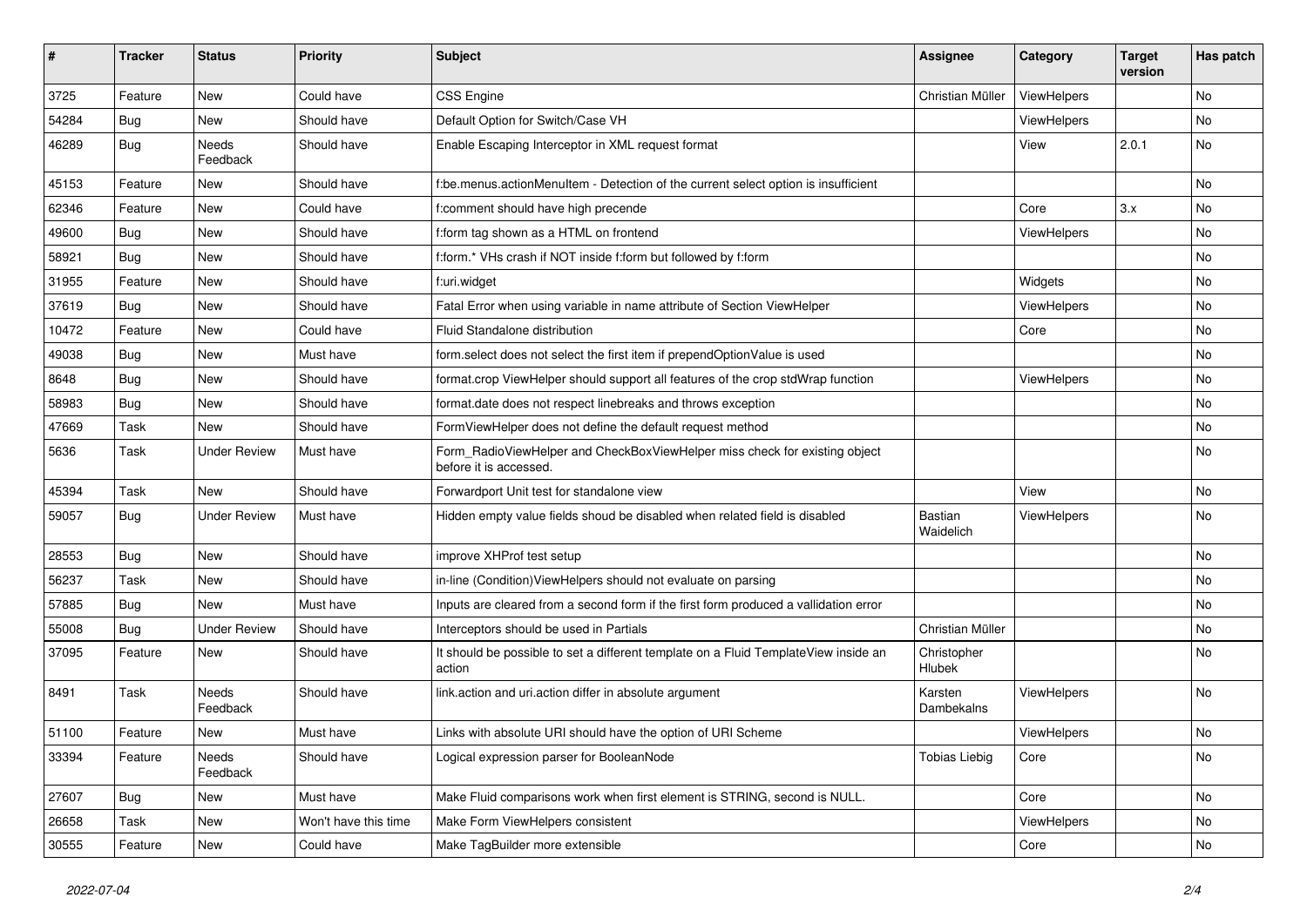| ∦     | <b>Tracker</b> | <b>Status</b>            | <b>Priority</b>      | <b>Subject</b>                                                                                       | <b>Assignee</b>             | Category    | <b>Target</b><br>version | Has patch |
|-------|----------------|--------------------------|----------------------|------------------------------------------------------------------------------------------------------|-----------------------------|-------------|--------------------------|-----------|
| 3725  | Feature        | New                      | Could have           | CSS Engine                                                                                           | Christian Müller            | ViewHelpers |                          | No        |
| 54284 | Bug            | New                      | Should have          | Default Option for Switch/Case VH                                                                    |                             | ViewHelpers |                          | No.       |
| 46289 | Bug            | Needs<br>Feedback        | Should have          | Enable Escaping Interceptor in XML request format                                                    |                             | View        | 2.0.1                    | No        |
| 45153 | Feature        | New                      | Should have          | f:be.menus.actionMenuItem - Detection of the current select option is insufficient                   |                             |             |                          | No        |
| 62346 | Feature        | <b>New</b>               | Could have           | f:comment should have high precende                                                                  |                             | Core        | 3.x                      | No        |
| 49600 | Bug            | New                      | Should have          | f:form tag shown as a HTML on frontend                                                               |                             | ViewHelpers |                          | No        |
| 58921 | Bug            | New                      | Should have          | f:form.* VHs crash if NOT inside f:form but followed by f:form                                       |                             |             |                          | No.       |
| 31955 | Feature        | New                      | Should have          | f:uri.widget                                                                                         |                             | Widgets     |                          | No        |
| 37619 | Bug            | New                      | Should have          | Fatal Error when using variable in name attribute of Section ViewHelper                              |                             | ViewHelpers |                          | No        |
| 10472 | Feature        | <b>New</b>               | Could have           | Fluid Standalone distribution                                                                        |                             | Core        |                          | No.       |
| 49038 | Bug            | New                      | Must have            | form.select does not select the first item if prependOptionValue is used                             |                             |             |                          | No        |
| 8648  | Bug            | New                      | Should have          | format.crop ViewHelper should support all features of the crop stdWrap function                      |                             | ViewHelpers |                          | No        |
| 58983 | Bug            | New                      | Should have          | format.date does not respect linebreaks and throws exception                                         |                             |             |                          | No        |
| 47669 | Task           | New                      | Should have          | FormViewHelper does not define the default request method                                            |                             |             |                          | No        |
| 5636  | Task           | <b>Under Review</b>      | Must have            | Form_RadioViewHelper and CheckBoxViewHelper miss check for existing object<br>before it is accessed. |                             |             |                          | No        |
| 45394 | Task           | New                      | Should have          | Forwardport Unit test for standalone view                                                            |                             | View        |                          | No        |
| 59057 | Bug            | <b>Under Review</b>      | Must have            | Hidden empty value fields shoud be disabled when related field is disabled                           | <b>Bastian</b><br>Waidelich | ViewHelpers |                          | No        |
| 28553 | Bug            | <b>New</b>               | Should have          | improve XHProf test setup                                                                            |                             |             |                          | No.       |
| 56237 | <b>Task</b>    | New                      | Should have          | in-line (Condition) View Helpers should not evaluate on parsing                                      |                             |             |                          | No        |
| 57885 | Bug            | <b>New</b>               | Must have            | Inputs are cleared from a second form if the first form produced a vallidation error                 |                             |             |                          | No        |
| 55008 | Bug            | <b>Under Review</b>      | Should have          | Interceptors should be used in Partials                                                              | Christian Müller            |             |                          | No        |
| 37095 | Feature        | New                      | Should have          | It should be possible to set a different template on a Fluid TemplateView inside an<br>action        | Christopher<br>Hlubek       |             |                          | No        |
| 8491  | Task           | <b>Needs</b><br>Feedback | Should have          | link.action and uri.action differ in absolute argument                                               | Karsten<br>Dambekalns       | ViewHelpers |                          | No.       |
| 51100 | Feature        | New                      | Must have            | Links with absolute URI should have the option of URI Scheme                                         |                             | ViewHelpers |                          | No        |
| 33394 | Feature        | Needs<br>Feedback        | Should have          | Logical expression parser for BooleanNode                                                            | <b>Tobias Liebig</b>        | Core        |                          | No        |
| 27607 | Bug            | New                      | Must have            | Make Fluid comparisons work when first element is STRING, second is NULL.                            |                             | Core        |                          | No        |
| 26658 | Task           | New                      | Won't have this time | Make Form ViewHelpers consistent                                                                     |                             | ViewHelpers |                          | No        |
| 30555 | Feature        | New                      | Could have           | Make TagBuilder more extensible                                                                      |                             | Core        |                          | No        |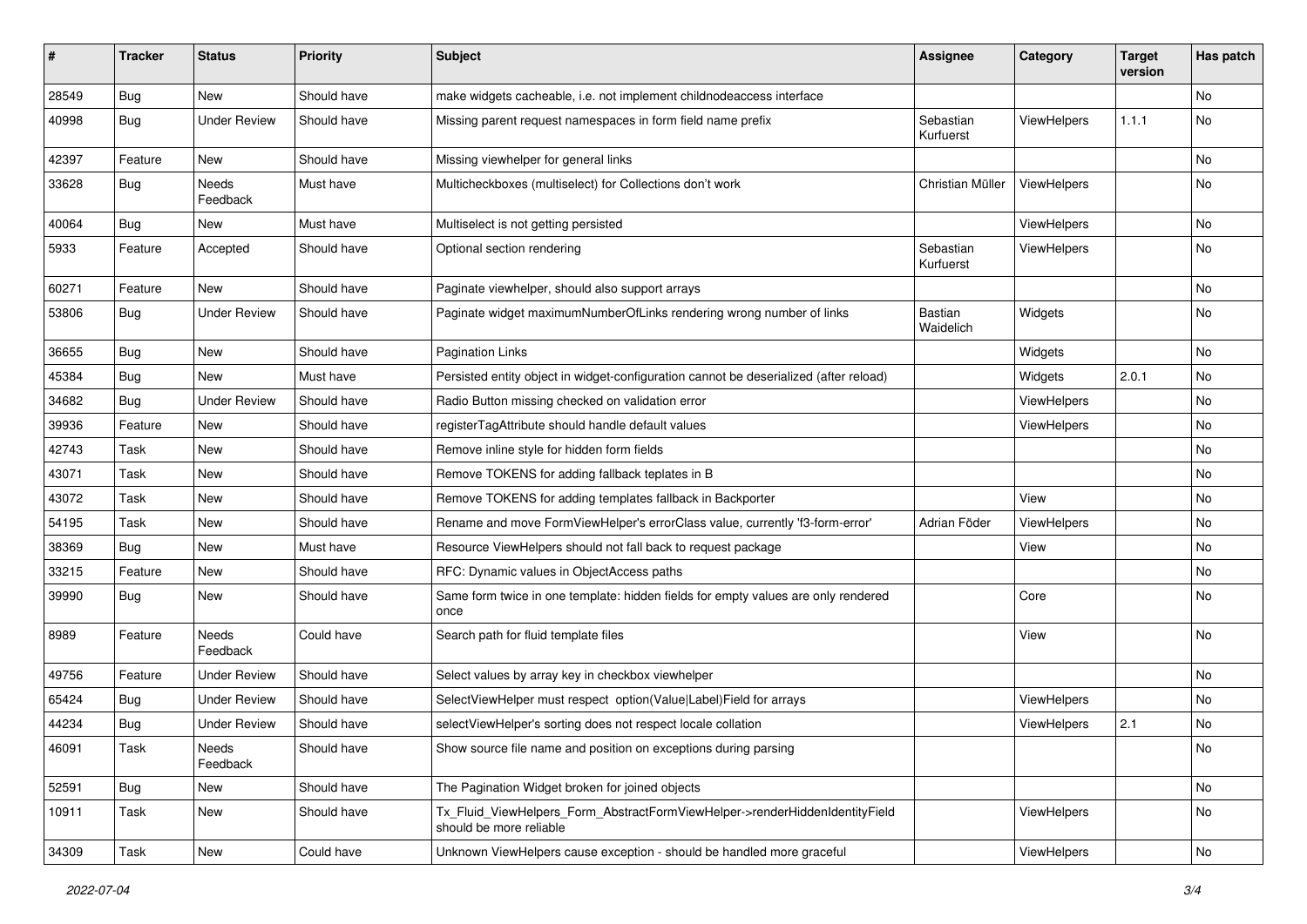| #     | <b>Tracker</b> | <b>Status</b>       | <b>Priority</b> | <b>Subject</b>                                                                                         | <b>Assignee</b>             | Category    | <b>Target</b><br>version | Has patch |
|-------|----------------|---------------------|-----------------|--------------------------------------------------------------------------------------------------------|-----------------------------|-------------|--------------------------|-----------|
| 28549 | Bug            | New                 | Should have     | make widgets cacheable, i.e. not implement childnodeaccess interface                                   |                             |             |                          | <b>No</b> |
| 40998 | Bug            | <b>Under Review</b> | Should have     | Missing parent request namespaces in form field name prefix                                            | Sebastian<br>Kurfuerst      | ViewHelpers | 1.1.1                    | No        |
| 42397 | Feature        | New                 | Should have     | Missing viewhelper for general links                                                                   |                             |             |                          | <b>No</b> |
| 33628 | Bug            | Needs<br>Feedback   | Must have       | Multicheckboxes (multiselect) for Collections don't work                                               | Christian Müller            | ViewHelpers |                          | No        |
| 40064 | Bug            | New                 | Must have       | Multiselect is not getting persisted                                                                   |                             | ViewHelpers |                          | No        |
| 5933  | Feature        | Accepted            | Should have     | Optional section rendering                                                                             | Sebastian<br>Kurfuerst      | ViewHelpers |                          | No        |
| 60271 | Feature        | New                 | Should have     | Paginate viewhelper, should also support arrays                                                        |                             |             |                          | No        |
| 53806 | Bug            | <b>Under Review</b> | Should have     | Paginate widget maximumNumberOfLinks rendering wrong number of links                                   | <b>Bastian</b><br>Waidelich | Widgets     |                          | No        |
| 36655 | Bug            | New                 | Should have     | <b>Pagination Links</b>                                                                                |                             | Widgets     |                          | No        |
| 45384 | Bug            | New                 | Must have       | Persisted entity object in widget-configuration cannot be deserialized (after reload)                  |                             | Widgets     | 2.0.1                    | No        |
| 34682 | Bug            | <b>Under Review</b> | Should have     | Radio Button missing checked on validation error                                                       |                             | ViewHelpers |                          | No        |
| 39936 | Feature        | New                 | Should have     | registerTagAttribute should handle default values                                                      |                             | ViewHelpers |                          | No        |
| 42743 | Task           | New                 | Should have     | Remove inline style for hidden form fields                                                             |                             |             |                          | No        |
| 43071 | Task           | New                 | Should have     | Remove TOKENS for adding fallback teplates in B                                                        |                             |             |                          | No        |
| 43072 | Task           | New                 | Should have     | Remove TOKENS for adding templates fallback in Backporter                                              |                             | View        |                          | No        |
| 54195 | Task           | New                 | Should have     | Rename and move FormViewHelper's errorClass value, currently 'f3-form-error'                           | Adrian Föder                | ViewHelpers |                          | No        |
| 38369 | Bug            | New                 | Must have       | Resource ViewHelpers should not fall back to request package                                           |                             | View        |                          | No        |
| 33215 | Feature        | <b>New</b>          | Should have     | RFC: Dynamic values in ObjectAccess paths                                                              |                             |             |                          | No        |
| 39990 | Bug            | New                 | Should have     | Same form twice in one template: hidden fields for empty values are only rendered<br>once              |                             | Core        |                          | No        |
| 8989  | Feature        | Needs<br>Feedback   | Could have      | Search path for fluid template files                                                                   |                             | View        |                          | No        |
| 49756 | Feature        | <b>Under Review</b> | Should have     | Select values by array key in checkbox viewhelper                                                      |                             |             |                          | No        |
| 65424 | Bug            | <b>Under Review</b> | Should have     | SelectViewHelper must respect option(Value Label)Field for arrays                                      |                             | ViewHelpers |                          | No        |
| 44234 | Bug            | <b>Under Review</b> | Should have     | selectViewHelper's sorting does not respect locale collation                                           |                             | ViewHelpers | 2.1                      | No        |
| 46091 | Task           | Needs<br>Feedback   | Should have     | Show source file name and position on exceptions during parsing                                        |                             |             |                          | No        |
| 52591 | <b>Bug</b>     | New                 | Should have     | The Pagination Widget broken for joined objects                                                        |                             |             |                          | No        |
| 10911 | Task           | New                 | Should have     | Tx Fluid ViewHelpers Form AbstractFormViewHelper->renderHiddenIdentityField<br>should be more reliable |                             | ViewHelpers |                          | No        |
| 34309 | Task           | New                 | Could have      | Unknown ViewHelpers cause exception - should be handled more graceful                                  |                             | ViewHelpers |                          | No        |